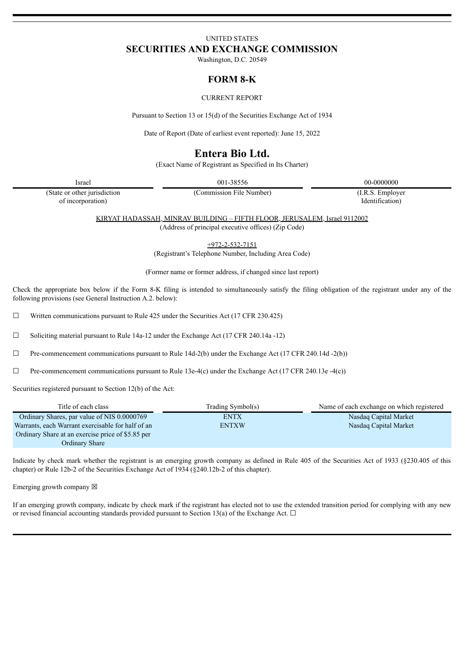# UNITED STATES **SECURITIES AND EXCHANGE COMMISSION**

Washington, D.C. 20549

## **FORM 8-K**

#### CURRENT REPORT

Pursuant to Section 13 or 15(d) of the Securities Exchange Act of 1934

Date of Report (Date of earliest event reported): June 15, 2022

# **Entera Bio Ltd.**

(Exact Name of Registrant as Specified in Its Charter)

Israel 001-38556 00-0000000

(State or other jurisdiction of incorporation)

(Commission File Number) (I.R.S. Employer

Identification)

KIRYAT HADASSAH, MINRAV BUILDING – FIFTH FLOOR, JERUSALEM, Israel 9112002 (Address of principal executive offices) (Zip Code)

+972-2-532-7151

(Registrant's Telephone Number, Including Area Code)

(Former name or former address, if changed since last report)

Check the appropriate box below if the Form 8-K filing is intended to simultaneously satisfy the filing obligation of the registrant under any of the following provisions (see General Instruction A.2. below):

□ Written communications pursuant to Rule 425 under the Securities Act (17 CFR 230.425)

☐ Soliciting material pursuant to Rule 14a-12 under the Exchange Act (17 CFR 240.14a -12)

 $\Box$  Pre-commencement communications pursuant to Rule 14d-2(b) under the Exchange Act (17 CFR 240.14d -2(b))

☐ Pre-commencement communications pursuant to Rule 13e-4(c) under the Exchange Act (17 CFR 240.13e -4(c))

Securities registered pursuant to Section 12(b) of the Act:

| Title of each class                               | Trading Symbol(s) | Name of each exchange on which registered |
|---------------------------------------------------|-------------------|-------------------------------------------|
| Ordinary Shares, par value of NIS 0.0000769       | <b>ENTX</b>       | Nasdaq Capital Market                     |
| Warrants, each Warrant exercisable for half of an | <b>ENTXW</b>      | Nasdag Capital Market                     |
| Ordinary Share at an exercise price of \$5.85 per |                   |                                           |
| <b>Ordinary Share</b>                             |                   |                                           |

Indicate by check mark whether the registrant is an emerging growth company as defined in Rule 405 of the Securities Act of 1933 (§230.405 of this chapter) or Rule 12b-2 of the Securities Exchange Act of 1934 (§240.12b-2 of this chapter).

Emerging growth company  $\boxtimes$ 

If an emerging growth company, indicate by check mark if the registrant has elected not to use the extended transition period for complying with any new or revised financial accounting standards provided pursuant to Section 13(a) of the Exchange Act.  $\Box$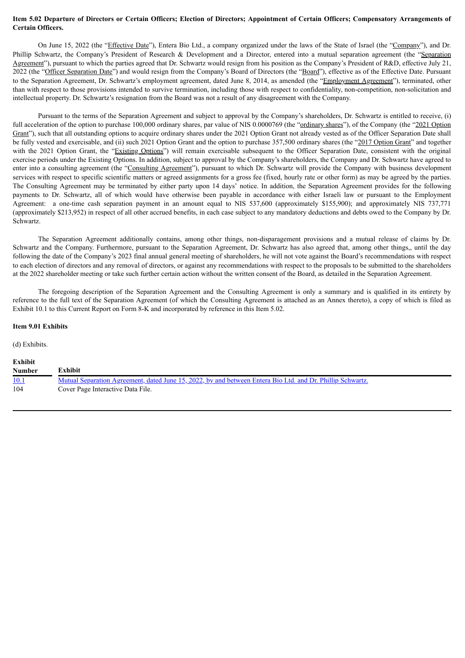#### Item 5.02 Departure of Directors or Certain Officers; Election of Directors; Appointment of Certain Officers; Compensatory Arrangements of **Certain Officers.**

On June 15, 2022 (the "Effective Date"), Entera Bio Ltd., a company organized under the laws of the State of Israel (the "Company"), and Dr. Phillip Schwartz, the Company's President of Research & Development and a Director, entered into a mutual separation agreement (the "Separation Agreement"), pursuant to which the parties agreed that Dr. Schwartz would resign from his position as the Company's President of R&D, effective July 21, 2022 (the "Officer Separation Date") and would resign from the Company's Board of Directors (the "Board"), effective as of the Effective Date. Pursuant to the Separation Agreement, Dr. Schwartz's employment agreement, dated June 8, 2014, as amended (the "Employment Agreement"), terminated, other than with respect to those provisions intended to survive termination, including those with respect to confidentiality, non-competition, non-solicitation and intellectual property. Dr. Schwartz's resignation from the Board was not a result of any disagreement with the Company.

Pursuant to the terms of the Separation Agreement and subject to approval by the Company's shareholders, Dr. Schwartz is entitled to receive, (i) full acceleration of the option to purchase 100,000 ordinary shares, par value of NIS 0.0000769 (the "ordinary shares"), of the Company (the "2021 Option Grant"), such that all outstanding options to acquire ordinary shares under the 2021 Option Grant not already vested as of the Officer Separation Date shall be fully vested and exercisable, and (ii) such 2021 Option Grant and the option to purchase 357,500 ordinary shares (the "2017 Option Grant" and together with the 2021 Option Grant, the "Existing Options") will remain exercisable subsequent to the Officer Separation Date, consistent with the original exercise periods under the Existing Options. In addition, subject to approval by the Company's shareholders, the Company and Dr. Schwartz have agreed to enter into a consulting agreement (the "Consulting Agreement"), pursuant to which Dr. Schwartz will provide the Company with business development services with respect to specific scientific matters or agreed assignments for a gross fee (fixed, hourly rate or other form) as may be agreed by the parties. The Consulting Agreement may be terminated by either party upon 14 days' notice. In addition, the Separation Agreement provides for the following payments to Dr. Schwartz, all of which would have otherwise been payable in accordance with either Israeli law or pursuant to the Employment Agreement: a one-time cash separation payment in an amount equal to NIS 537,600 (approximately \$155,900); and approximately NIS 737,771 (approximately \$213,952) in respect of all other accrued benefits, in each case subject to any mandatory deductions and debts owed to the Company by Dr. Schwartz.

The Separation Agreement additionally contains, among other things, non-disparagement provisions and a mutual release of claims by Dr. Schwartz and the Company. Furthermore, pursuant to the Separation Agreement, Dr. Schwartz has also agreed that, among other things,, until the day following the date of the Company's 2023 final annual general meeting of shareholders, he will not vote against the Board's recommendations with respect to each election of directors and any removal of directors, or against any recommendations with respect to the proposals to be submitted to the shareholders at the 2022 shareholder meeting or take such further certain action without the written consent of the Board, as detailed in the Separation Agreement.

The foregoing description of the Separation Agreement and the Consulting Agreement is only a summary and is qualified in its entirety by reference to the full text of the Separation Agreement (of which the Consulting Agreement is attached as an Annex thereto), a copy of which is filed as Exhibit 10.1 to this Current Report on Form 8-K and incorporated by reference in this Item 5.02.

#### **Item 9.01 Exhibits**

(d) Exhibits.

| Exhibit       |                                                                                                            |  |
|---------------|------------------------------------------------------------------------------------------------------------|--|
| <b>Number</b> | Exhibit                                                                                                    |  |
| <u>10.1</u>   | Mutual Separation Agreement, dated June 15, 2022, by and between Entera Bio Ltd. and Dr. Phillip Schwartz. |  |
| 104           | Cover Page Interactive Data File.                                                                          |  |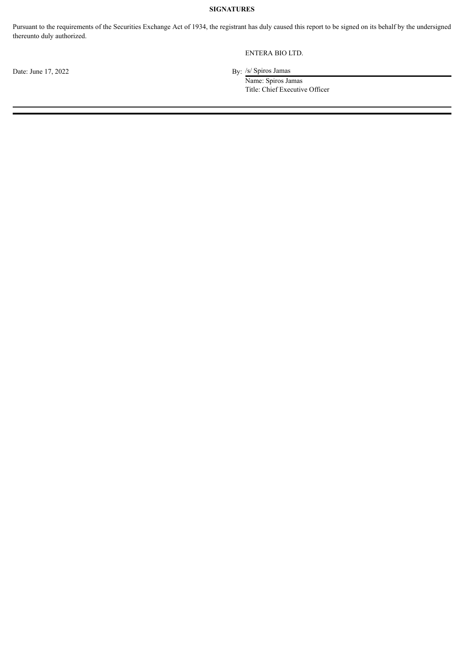### **SIGNATURES**

Pursuant to the requirements of the Securities Exchange Act of 1934, the registrant has duly caused this report to be signed on its behalf by the undersigned thereunto duly authorized.

#### ENTERA BIO LTD.

By: /s/ Spiros Jamas

Name: Spiros Jamas Title: Chief Executive Officer

Date: June 17, 2022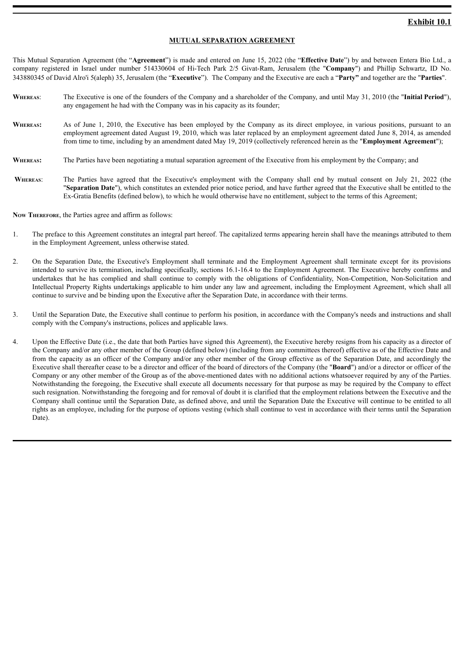#### **MUTUAL SEPARATION AGREEMENT**

<span id="page-3-0"></span>This Mutual Separation Agreement (the "**Agreement**") is made and entered on June 15, 2022 (the "**Effective Date**") by and between Entera Bio Ltd., a company registered in Israel under number 514330604 of Hi-Tech Park 2/5 Givat-Ram, Jerusalem (the "**Company**") and Phillip Schwartz, ID No. 343880345 of David Alro'i 5(aleph) 35, Jerusalem (the "**Executive**"). The Company and the Executive are each a "**Party"** and together are the "**Parties**".

- **Whereas**: The Executive is one of the founders of the Company and a shareholder of the Company, and until May 31, 2010 (the "**Initial Period**"), any engagement he had with the Company was in his capacity as its founder;
- WHEREAS: As of June 1, 2010, the Executive has been employed by the Company as its direct employee, in various positions, pursuant to an employment agreement dated August 19, 2010, which was later replaced by an employment agreement dated June 8, 2014, as amended from time to time, including by an amendment dated May 19, 2019 (collectively referenced herein as the "**Employment Agreement**");
- **WHEREAS:** The Parties have been negotiating a mutual separation agreement of the Executive from his employment by the Company; and
- WHEREAS: The Parties have agreed that the Executive's employment with the Company shall end by mutual consent on July 21, 2022 (the "**Separation Date**"), which constitutes an extended prior notice period, and have further agreed that the Executive shall be entitled to the Ex-Gratia Benefits (defined below), to which he would otherwise have no entitlement, subject to the terms of this Agreement;

**Now Therefore**, the Parties agree and affirm as follows:

- 1. The preface to this Agreement constitutes an integral part hereof. The capitalized terms appearing herein shall have the meanings attributed to them in the Employment Agreement, unless otherwise stated.
- 2. On the Separation Date, the Executive's Employment shall terminate and the Employment Agreement shall terminate except for its provisions intended to survive its termination, including specifically, sections 16.1-16.4 to the Employment Agreement. The Executive hereby confirms and undertakes that he has complied and shall continue to comply with the obligations of Confidentiality, Non-Competition, Non-Solicitation and Intellectual Property Rights undertakings applicable to him under any law and agreement, including the Employment Agreement, which shall all continue to survive and be binding upon the Executive after the Separation Date, in accordance with their terms.
- 3. Until the Separation Date, the Executive shall continue to perform his position, in accordance with the Company's needs and instructions and shall comply with the Company's instructions, polices and applicable laws.
- 4. Upon the Effective Date (i.e., the date that both Parties have signed this Agreement), the Executive hereby resigns from his capacity as a director of the Company and/or any other member of the Group (defined below) (including from any committees thereof) effective as of the Effective Date and from the capacity as an officer of the Company and/or any other member of the Group effective as of the Separation Date, and accordingly the Executive shall thereafter cease to be a director and officer of the board of directors of the Company (the "**Board**") and/or a director or officer of the Company or any other member of the Group as of the above-mentioned dates with no additional actions whatsoever required by any of the Parties. Notwithstanding the foregoing, the Executive shall execute all documents necessary for that purpose as may be required by the Company to effect such resignation. Notwithstanding the foregoing and for removal of doubt it is clarified that the employment relations between the Executive and the Company shall continue until the Separation Date, as defined above, and until the Separation Date the Executive will continue to be entitled to all rights as an employee, including for the purpose of options vesting (which shall continue to vest in accordance with their terms until the Separation Date).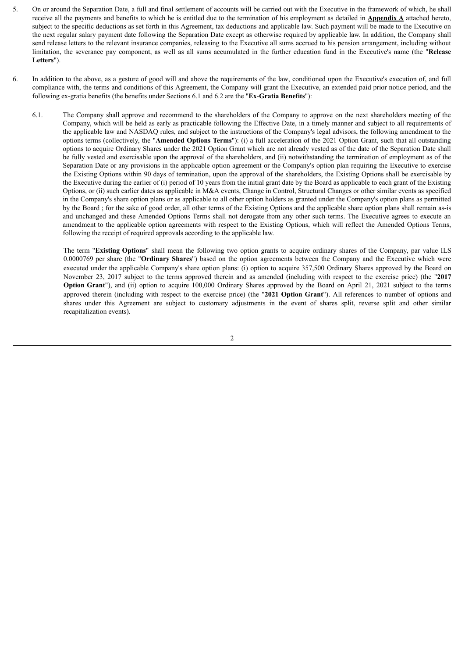- 5. On or around the Separation Date, a full and final settlement of accounts will be carried out with the Executive in the framework of which, he shall receive all the payments and benefits to which he is entitled due to the termination of his employment as detailed in **Appendix A** attached hereto, subject to the specific deductions as set forth in this Agreement, tax deductions and applicable law. Such payment will be made to the Executive on the next regular salary payment date following the Separation Date except as otherwise required by applicable law. In addition, the Company shall send release letters to the relevant insurance companies, releasing to the Executive all sums accrued to his pension arrangement, including without limitation, the severance pay component, as well as all sums accumulated in the further education fund in the Executive's name (the "**Release Letters**").
- 6. In addition to the above, as a gesture of good will and above the requirements of the law, conditioned upon the Executive's execution of, and full compliance with, the terms and conditions of this Agreement, the Company will grant the Executive, an extended paid prior notice period, and the following ex-gratia benefits (the benefits under Sections 6.1 and 6.2 are the "**Ex**-**Gratia Benefits**"):
	- 6.1. The Company shall approve and recommend to the shareholders of the Company to approve on the next shareholders meeting of the Company, which will be held as early as practicable following the Effective Date, in a timely manner and subject to all requirements of the applicable law and NASDAQ rules, and subject to the instructions of the Company's legal advisors, the following amendment to the options terms (collectively, the "**Amended Options Terms**"): (i) a full acceleration of the 2021 Option Grant, such that all outstanding options to acquire Ordinary Shares under the 2021 Option Grant which are not already vested as of the date of the Separation Date shall be fully vested and exercisable upon the approval of the shareholders, and (ii) notwithstanding the termination of employment as of the Separation Date or any provisions in the applicable option agreement or the Company's option plan requiring the Executive to exercise the Existing Options within 90 days of termination, upon the approval of the shareholders, the Existing Options shall be exercisable by the Executive during the earlier of (i) period of 10 years from the initial grant date by the Board as applicable to each grant of the Existing Options, or (ii) such earlier dates as applicable in M&A events, Change in Control, Structural Changes or other similar events as specified in the Company's share option plans or as applicable to all other option holders as granted under the Company's option plans as permitted by the Board ; for the sake of good order, all other terms of the Existing Options and the applicable share option plans shall remain as-is and unchanged and these Amended Options Terms shall not derogate from any other such terms. The Executive agrees to execute an amendment to the applicable option agreements with respect to the Existing Options, which will reflect the Amended Options Terms, following the receipt of required approvals according to the applicable law.

The term "**Existing Options**" shall mean the following two option grants to acquire ordinary shares of the Company, par value ILS 0.0000769 per share (the "**Ordinary Shares**") based on the option agreements between the Company and the Executive which were executed under the applicable Company's share option plans: (i) option to acquire 357,500 Ordinary Shares approved by the Board on November 23, 2017 subject to the terms approved therein and as amended (including with respect to the exercise price) (the "**2017 Option Grant**"), and (ii) option to acquire 100,000 Ordinary Shares approved by the Board on April 21, 2021 subject to the terms approved therein (including with respect to the exercise price) (the "**2021 Option Grant**"). All references to number of options and shares under this Agreement are subject to customary adjustments in the event of shares split, reverse split and other similar recapitalization events).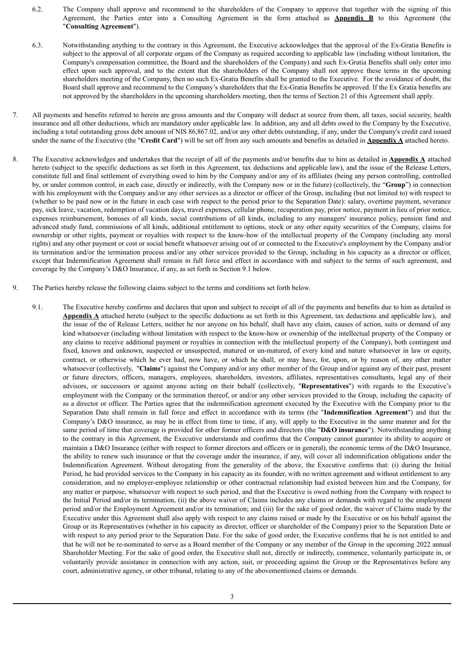- 6.2. The Company shall approve and recommend to the shareholders of the Company to approve that together with the signing of this Agreement, the Parties enter into a Consulting Agreement in the form attached as **Appendix B** to this Agreement (the "**Consulting Agreement**").
- 6.3. Notwithstanding anything to the contrary in this Agreement, the Executive acknowledges that the approval of the Ex-Gratia Benefits is subject to the approval of all corporate organs of the Company as required according to applicable law (including without limitation, the Company's compensation committee, the Board and the shareholders of the Company) and such Ex-Gratia Benefits shall only enter into effect upon such approval, and to the extent that the shareholders of the Company shall not approve these terms in the upcoming shareholders meeting of the Company, then no such Ex-Gratia Benefits shall be granted to the Executive. For the avoidance of doubt, the Board shall approve and recommend to the Company's shareholders that the Ex-Gratia Benefits be approved. If the Ex Gratia benefits are not approved by the shareholders in the upcoming shareholders meeting, then the terms of Section 21 of this Agreement shall apply.
- 7. All payments and benefits referred to herein are gross amounts and the Company will deduct at source from them, all taxes, social security, health insurance and all other deductions, which are mandatory under applicable law. In addition, any and all debts owed to the Company by the Executive, including a total outstanding gross debt amount of NIS 86,867.02, and/or any other debts outstanding, if any, under the Company's credit card issued under the name of the Executive (the "**Credit Card**") will be set off from any such amounts and benefits as detailed in **Appendix A** attached hereto.
- 8. The Executive acknowledges and undertakes that the receipt of all of the payments and/or benefits due to him as detailed in **Appendix A** attached hereto (subject to the specific deductions as set forth in this Agreement, tax deductions and applicable law), and the issue of the Release Letters, constitute full and final settlement of everything owed to him by the Company and/or any of its affiliates (being any person controlling, controlled by, or under common control, in each case, directly or indirectly, with the Company now or in the future) (collectively, the "**Group**") in connection with his employment with the Company and/or any other services as a director or officer of the Group, including (but not limited to) with respect to (whether to be paid now or in the future in each case with respect to the period prior to the Separation Date): salary, overtime payment, severance pay, sick leave, vacation, redemption of vacation days, travel expenses, cellular phone, recuperation pay, prior notice, payment in lieu of prior notice, expenses reimbursement, bonuses of all kinds, social contributions of all kinds, including to any managers' insurance policy, pension fund and advanced study fund, commissions of all kinds, additional entitlement to options, stock or any other equity securities of the Company, claims for ownership or other rights, payment or royalties with respect to the know-how of the intellectual property of the Company (including any moral rights) and any other payment or cost or social benefit whatsoever arising out of or connected to the Executive's employment by the Company and/or its termination and/or the termination process and/or any other services provided to the Group, including in his capacity as a director or officer, except that Indemnification Agreement shall remain in full force and effect in accordance with and subject to the terms of such agreement, and coverage by the Company's D&O Insurance, if any, as set forth in Section 9.1 below.
- 9. The Parties hereby release the following claims subject to the terms and conditions set forth below.
	- 9.1. The Executive hereby confirms and declares that upon and subject to receipt of all of the payments and benefits due to him as detailed in **Appendix A** attached hereto (subject to the specific deductions as set forth in this Agreement, tax deductions and applicable law), and the issue of the of Release Letters, neither he nor anyone on his behalf, shall have any claim, causes of action, suits or demand of any kind whatsoever (including without limitation with respect to the know-how or ownership of the intellectual property of the Company or any claims to receive additional payment or royalties in connection with the intellectual property of the Company), both contingent and fixed, known and unknown, suspected or unsuspected, matured or un-matured, of every kind and nature whatsoever in law or equity, contract, or otherwise which he ever had, now have, or which he shall, or may have, for, upon, or by reason of, any other matter whatsoever (collectively, "**Claims**") against the Company and/or any other member of the Group and/or against any of their past, present or future directors, officers, managers, employees, shareholders, investors, affiliates, representatives consultants, legal any of their advisors, or successors or against anyone acting on their behalf (collectively, "**Representatives**") with regards to the Executive's employment with the Company or the termination thereof, or and/or any other services provided to the Group, including the capacity of as a director or officer. The Parties agree that the indemnification agreement executed by the Executive with the Company prior to the Separation Date shall remain in full force and effect in accordance with its terms (the "**Indemnification Agreement**") and that the Company's D&O insurance, as may be in effect from time to time, if any, will apply to the Executive in the same manner and for the same period of time that coverage is provided for other former officers and directors (the "**D&O insurance**"). Notwithstanding anything to the contrary in this Agreement, the Executive understands and confirms that the Company cannot guarantee its ability to acquire or maintain a D&O Insurance (either with respect to former directors and officers or in general), the economic terms of the D&O Insurance, the ability to renew such insurance or that the coverage under the insurance, if any, will cover all indemnification obligations under the Indemnification Agreement. Without derogating from the generality of the above, the Executive confirms that: (i) during the Initial Period, he had provided services to the Company in his capacity as its founder, with no written agreement and without entitlement to any consideration, and no employer-employee relationship or other contractual relationship had existed between him and the Company, for any matter or purpose, whatsoever with respect to such period, and that the Executive is owed nothing from the Company with respect to the Initial Period and/or its termination, (ii) the above waiver of Claims includes any claims or demands with regard to the employment period and/or the Employment Agreement and/or its termination; and (iii) for the sake of good order, the waiver of Claims made by the Executive under this Agreement shall also apply with respect to any claims raised or made by the Executive or on his behalf against the Group or its Representatives (whether in his capacity as director, officer or shareholder of the Company) prior to the Separation Date or with respect to any period prior to the Separation Date. For the sake of good order, the Executive confirms that he is not entitled to and that he will not be re-nominated to serve as a Board member of the Company or any member of the Group in the upcoming 2022 annual Shareholder Meeting. For the sake of good order, the Executive shall not, directly or indirectly, commence, voluntarily participate in, or voluntarily provide assistance in connection with any action, suit, or proceeding against the Group or the Representatives before any court, administrative agency, or other tribunal, relating to any of the abovementioned claims or demands.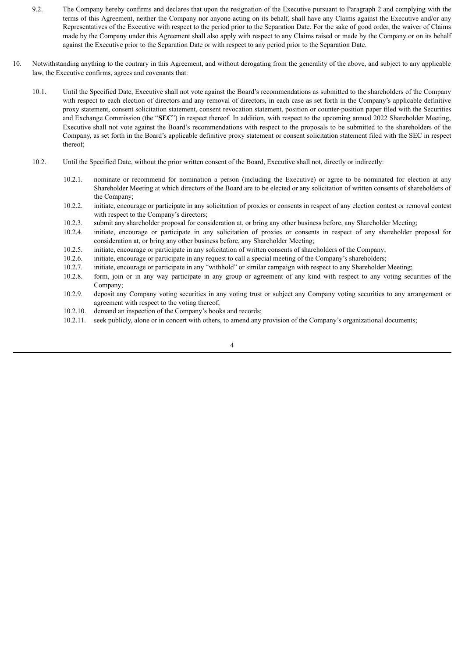- 9.2. The Company hereby confirms and declares that upon the resignation of the Executive pursuant to Paragraph 2 and complying with the terms of this Agreement, neither the Company nor anyone acting on its behalf, shall have any Claims against the Executive and/or any Representatives of the Executive with respect to the period prior to the Separation Date. For the sake of good order, the waiver of Claims made by the Company under this Agreement shall also apply with respect to any Claims raised or made by the Company or on its behalf against the Executive prior to the Separation Date or with respect to any period prior to the Separation Date.
- 10. Notwithstanding anything to the contrary in this Agreement, and without derogating from the generality of the above, and subject to any applicable law, the Executive confirms, agrees and covenants that:
	- 10.1. Until the Specified Date, Executive shall not vote against the Board's recommendations as submitted to the shareholders of the Company with respect to each election of directors and any removal of directors, in each case as set forth in the Company's applicable definitive proxy statement, consent solicitation statement, consent revocation statement, position or counter-position paper filed with the Securities and Exchange Commission (the "**SEC**") in respect thereof. In addition, with respect to the upcoming annual 2022 Shareholder Meeting, Executive shall not vote against the Board's recommendations with respect to the proposals to be submitted to the shareholders of the Company, as set forth in the Board's applicable definitive proxy statement or consent solicitation statement filed with the SEC in respect thereof;
	- 10.2. Until the Specified Date, without the prior written consent of the Board, Executive shall not, directly or indirectly:
		- 10.2.1. nominate or recommend for nomination a person (including the Executive) or agree to be nominated for election at any Shareholder Meeting at which directors of the Board are to be elected or any solicitation of written consents of shareholders of the Company;
		- 10.2.2. initiate, encourage or participate in any solicitation of proxies or consents in respect of any election contest or removal contest with respect to the Company's directors;
		- 10.2.3. submit any shareholder proposal for consideration at, or bring any other business before, any Shareholder Meeting;
		- 10.2.4. initiate, encourage or participate in any solicitation of proxies or consents in respect of any shareholder proposal for consideration at, or bring any other business before, any Shareholder Meeting;
		- 10.2.5. initiate, encourage or participate in any solicitation of written consents of shareholders of the Company;
		- 10.2.6. initiate, encourage or participate in any request to call a special meeting of the Company's shareholders;
		- 10.2.7. initiate, encourage or participate in any "withhold" or similar campaign with respect to any Shareholder Meeting;
		- 10.2.8. form, join or in any way participate in any group or agreement of any kind with respect to any voting securities of the Company;
		- 10.2.9. deposit any Company voting securities in any voting trust or subject any Company voting securities to any arrangement or agreement with respect to the voting thereof;
		- 10.2.10. demand an inspection of the Company's books and records;
		- 10.2.11. seek publicly, alone or in concert with others, to amend any provision of the Company's organizational documents;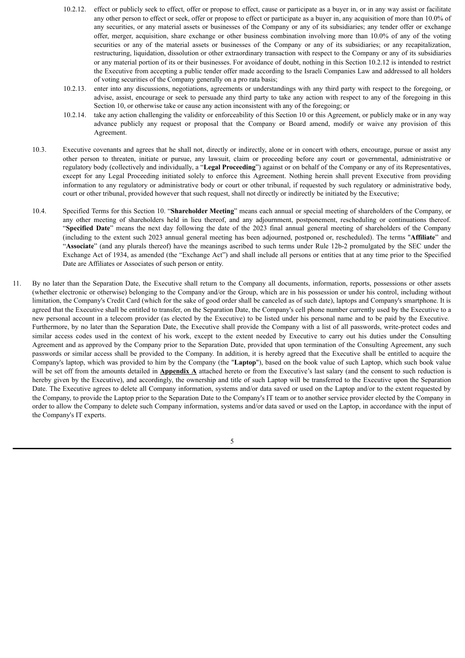- 10.2.12. effect or publicly seek to effect, offer or propose to effect, cause or participate as a buyer in, or in any way assist or facilitate any other person to effect or seek, offer or propose to effect or participate as a buyer in, any acquisition of more than 10.0% of any securities, or any material assets or businesses of the Company or any of its subsidiaries; any tender offer or exchange offer, merger, acquisition, share exchange or other business combination involving more than 10.0% of any of the voting securities or any of the material assets or businesses of the Company or any of its subsidiaries; or any recapitalization, restructuring, liquidation, dissolution or other extraordinary transaction with respect to the Company or any of its subsidiaries or any material portion of its or their businesses. For avoidance of doubt, nothing in this Section 10.2.12 is intended to restrict the Executive from accepting a public tender offer made according to the Israeli Companies Law and addressed to all holders of voting securities of the Company generally on a pro rata basis;
- 10.2.13. enter into any discussions, negotiations, agreements or understandings with any third party with respect to the foregoing, or advise, assist, encourage or seek to persuade any third party to take any action with respect to any of the foregoing in this Section 10, or otherwise take or cause any action inconsistent with any of the foregoing; or
- 10.2.14. take any action challenging the validity or enforceability of this Section 10 or this Agreement, or publicly make or in any way advance publicly any request or proposal that the Company or Board amend, modify or waive any provision of this Agreement.
- 10.3. Executive covenants and agrees that he shall not, directly or indirectly, alone or in concert with others, encourage, pursue or assist any other person to threaten, initiate or pursue, any lawsuit, claim or proceeding before any court or governmental, administrative or regulatory body (collectively and individually, a "**Legal Proceeding**") against or on behalf of the Company or any of its Representatives, except for any Legal Proceeding initiated solely to enforce this Agreement. Nothing herein shall prevent Executive from providing information to any regulatory or administrative body or court or other tribunal, if requested by such regulatory or administrative body, court or other tribunal, provided however that such request, shall not directly or indirectly be initiated by the Executive;
- 10.4. Specified Terms for this Section 10. "**Shareholder Meeting**" means each annual or special meeting of shareholders of the Company, or any other meeting of shareholders held in lieu thereof, and any adjournment, postponement, rescheduling or continuations thereof. "**Specified Date**" means the next day following the date of the 2023 final annual general meeting of shareholders of the Company (including to the extent such 2023 annual general meeting has been adjourned, postponed or, rescheduled). The terms "**Affiliate**" and "**Associate**" (and any plurals thereof) have the meanings ascribed to such terms under Rule 12b-2 promulgated by the SEC under the Exchange Act of 1934, as amended (the "Exchange Act") and shall include all persons or entities that at any time prior to the Specified Date are Affiliates or Associates of such person or entity.
- 11. By no later than the Separation Date, the Executive shall return to the Company all documents, information, reports, possessions or other assets (whether electronic or otherwise) belonging to the Company and/or the Group, which are in his possession or under his control, including without limitation, the Company's Credit Card (which for the sake of good order shall be canceled as of such date), laptops and Company's smartphone. It is agreed that the Executive shall be entitled to transfer, on the Separation Date, the Company's cell phone number currently used by the Executive to a new personal account in a telecom provider (as elected by the Executive) to be listed under his personal name and to be paid by the Executive. Furthermore, by no later than the Separation Date, the Executive shall provide the Company with a list of all passwords, write-protect codes and similar access codes used in the context of his work, except to the extent needed by Executive to carry out his duties under the Consulting Agreement and as approved by the Company prior to the Separation Date, provided that upon termination of the Consulting Agreement, any such passwords or similar access shall be provided to the Company. In addition, it is hereby agreed that the Executive shall be entitled to acquire the Company's laptop, which was provided to him by the Company (the "**Laptop**"), based on the book value of such Laptop, which such book value will be set off from the amounts detailed in **Appendix A** attached hereto or from the Executive's last salary (and the consent to such reduction is hereby given by the Executive), and accordingly, the ownership and title of such Laptop will be transferred to the Executive upon the Separation Date. The Executive agrees to delete all Company information, systems and/or data saved or used on the Laptop and/or to the extent requested by the Company, to provide the Laptop prior to the Separation Date to the Company's IT team or to another service provider elected by the Company in order to allow the Company to delete such Company information, systems and/or data saved or used on the Laptop, in accordance with the input of the Company's IT experts.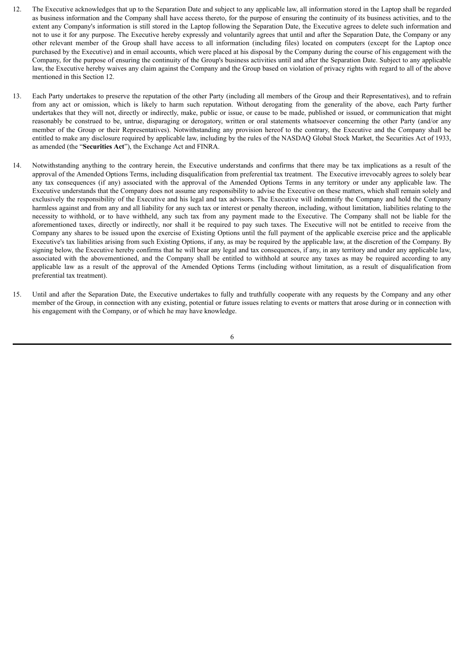- 12. The Executive acknowledges that up to the Separation Date and subject to any applicable law, all information stored in the Laptop shall be regarded as business information and the Company shall have access thereto, for the purpose of ensuring the continuity of its business activities, and to the extent any Company's information is still stored in the Laptop following the Separation Date, the Executive agrees to delete such information and not to use it for any purpose. The Executive hereby expressly and voluntarily agrees that until and after the Separation Date, the Company or any other relevant member of the Group shall have access to all information (including files) located on computers (except for the Laptop once purchased by the Executive) and in email accounts, which were placed at his disposal by the Company during the course of his engagement with the Company, for the purpose of ensuring the continuity of the Group's business activities until and after the Separation Date. Subject to any applicable law, the Executive hereby waives any claim against the Company and the Group based on violation of privacy rights with regard to all of the above mentioned in this Section 12.
- 13. Each Party undertakes to preserve the reputation of the other Party (including all members of the Group and their Representatives), and to refrain from any act or omission, which is likely to harm such reputation. Without derogating from the generality of the above, each Party further undertakes that they will not, directly or indirectly, make, public or issue, or cause to be made, published or issued, or communication that might reasonably be construed to be, untrue, disparaging or derogatory, written or oral statements whatsoever concerning the other Party (and/or any member of the Group or their Representatives). Notwithstanding any provision hereof to the contrary, the Executive and the Company shall be entitled to make any disclosure required by applicable law, including by the rules of the NASDAQ Global Stock Market, the Securities Act of 1933, as amended (the "**Securities Act**"), the Exchange Act and FINRA.
- 14. Notwithstanding anything to the contrary herein, the Executive understands and confirms that there may be tax implications as a result of the approval of the Amended Options Terms, including disqualification from preferential tax treatment. The Executive irrevocably agrees to solely bear any tax consequences (if any) associated with the approval of the Amended Options Terms in any territory or under any applicable law. The Executive understands that the Company does not assume any responsibility to advise the Executive on these matters, which shall remain solely and exclusively the responsibility of the Executive and his legal and tax advisors. The Executive will indemnify the Company and hold the Company harmless against and from any and all liability for any such tax or interest or penalty thereon, including, without limitation, liabilities relating to the necessity to withhold, or to have withheld, any such tax from any payment made to the Executive. The Company shall not be liable for the aforementioned taxes, directly or indirectly, nor shall it be required to pay such taxes. The Executive will not be entitled to receive from the Company any shares to be issued upon the exercise of Existing Options until the full payment of the applicable exercise price and the applicable Executive's tax liabilities arising from such Existing Options, if any, as may be required by the applicable law, at the discretion of the Company. By signing below, the Executive hereby confirms that he will bear any legal and tax consequences, if any, in any territory and under any applicable law, associated with the abovementioned, and the Company shall be entitled to withhold at source any taxes as may be required according to any applicable law as a result of the approval of the Amended Options Terms (including without limitation, as a result of disqualification from preferential tax treatment).
- 15. Until and after the Separation Date, the Executive undertakes to fully and truthfully cooperate with any requests by the Company and any other member of the Group, in connection with any existing, potential or future issues relating to events or matters that arose during or in connection with his engagement with the Company, or of which he may have knowledge.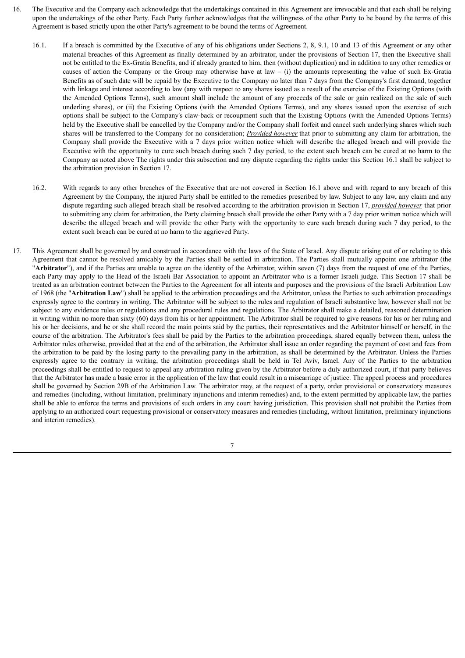- 16. The Executive and the Company each acknowledge that the undertakings contained in this Agreement are irrevocable and that each shall be relying upon the undertakings of the other Party. Each Party further acknowledges that the willingness of the other Party to be bound by the terms of this Agreement is based strictly upon the other Party's agreement to be bound the terms of Agreement.
	- 16.1. If a breach is committed by the Executive of any of his obligations under Sections 2, 8, 9.1, 10 and 13 of this Agreement or any other material breaches of this Agreement as finally determined by an arbitrator, under the provisions of Section 17, then the Executive shall not be entitled to the Ex-Gratia Benefits, and if already granted to him, then (without duplication) and in addition to any other remedies or causes of action the Company or the Group may otherwise have at law  $-$  (i) the amounts representing the value of such Ex-Gratia Benefits as of such date will be repaid by the Executive to the Company no later than 7 days from the Company's first demand, together with linkage and interest according to law (any with respect to any shares issued as a result of the exercise of the Existing Options (with the Amended Options Terms), such amount shall include the amount of any proceeds of the sale or gain realized on the sale of such underling shares), or (ii) the Existing Options (with the Amended Options Terms), and any shares issued upon the exercise of such options shall be subject to the Company's claw-back or recoupment such that the Existing Options (with the Amended Options Terms) held by the Executive shall be cancelled by the Company and/or the Company shall forfeit and cancel such underlying shares which such shares will be transferred to the Company for no consideration; *Provided however* that prior to submitting any claim for arbitration, the Company shall provide the Executive with a 7 days prior written notice which will describe the alleged breach and will provide the Executive with the opportunity to cure such breach during such 7 day period, to the extent such breach can be cured at no harm to the Company as noted above The rights under this subsection and any dispute regarding the rights under this Section 16.1 shall be subject to the arbitration provision in Section 17.
	- 16.2. With regards to any other breaches of the Executive that are not covered in Section 16.1 above and with regard to any breach of this Agreement by the Company, the injured Party shall be entitled to the remedies prescribed by law. Subject to any law, any claim and any dispute regarding such alleged breach shall be resolved according to the arbitration provision in Section 17, *provided however* that prior to submitting any claim for arbitration, the Party claiming breach shall provide the other Party with a 7 day prior written notice which will describe the alleged breach and will provide the other Party with the opportunity to cure such breach during such 7 day period, to the extent such breach can be cured at no harm to the aggrieved Party.
- 17. This Agreement shall be governed by and construed in accordance with the laws of the State of Israel. Any dispute arising out of or relating to this Agreement that cannot be resolved amicably by the Parties shall be settled in arbitration. The Parties shall mutually appoint one arbitrator (the "**Arbitrator**"), and if the Parties are unable to agree on the identity of the Arbitrator, within seven (7) days from the request of one of the Parties, each Party may apply to the Head of the Israeli Bar Association to appoint an Arbitrator who is a former Israeli judge. This Section 17 shall be treated as an arbitration contract between the Parties to the Agreement for all intents and purposes and the provisions of the Israeli Arbitration Law of 1968 (the "**Arbitration Law**") shall be applied to the arbitration proceedings and the Arbitrator, unless the Parties to such arbitration proceedings expressly agree to the contrary in writing. The Arbitrator will be subject to the rules and regulation of Israeli substantive law, however shall not be subject to any evidence rules or regulations and any procedural rules and regulations. The Arbitrator shall make a detailed, reasoned determination in writing within no more than sixty (60) days from his or her appointment. The Arbitrator shall be required to give reasons for his or her ruling and his or her decisions, and he or she shall record the main points said by the parties, their representatives and the Arbitrator himself or herself, in the course of the arbitration. The Arbitrator's fees shall be paid by the Parties to the arbitration proceedings, shared equally between them, unless the Arbitrator rules otherwise, provided that at the end of the arbitration, the Arbitrator shall issue an order regarding the payment of cost and fees from the arbitration to be paid by the losing party to the prevailing party in the arbitration, as shall be determined by the Arbitrator. Unless the Parties expressly agree to the contrary in writing, the arbitration proceedings shall be held in Tel Aviv, Israel. Any of the Parties to the arbitration proceedings shall be entitled to request to appeal any arbitration ruling given by the Arbitrator before a duly authorized court, if that party believes that the Arbitrator has made a basic error in the application of the law that could result in a miscarriage of justice. The appeal process and procedures shall be governed by Section 29B of the Arbitration Law. The arbitrator may, at the request of a party, order provisional or conservatory measures and remedies (including, without limitation, preliminary injunctions and interim remedies) and, to the extent permitted by applicable law, the parties shall be able to enforce the terms and provisions of such orders in any court having jurisdiction. This provision shall not prohibit the Parties from applying to an authorized court requesting provisional or conservatory measures and remedies (including, without limitation, preliminary injunctions and interim remedies).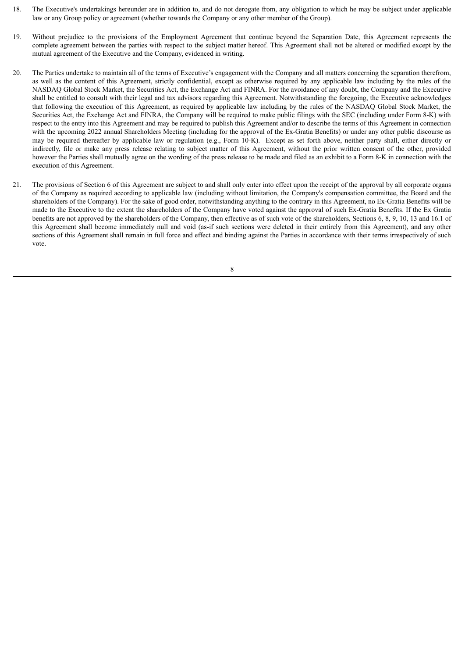- 18. The Executive's undertakings hereunder are in addition to, and do not derogate from, any obligation to which he may be subject under applicable law or any Group policy or agreement (whether towards the Company or any other member of the Group).
- 19. Without prejudice to the provisions of the Employment Agreement that continue beyond the Separation Date, this Agreement represents the complete agreement between the parties with respect to the subject matter hereof. This Agreement shall not be altered or modified except by the mutual agreement of the Executive and the Company, evidenced in writing.
- 20. The Parties undertake to maintain all of the terms of Executive's engagement with the Company and all matters concerning the separation therefrom, as well as the content of this Agreement, strictly confidential, except as otherwise required by any applicable law including by the rules of the NASDAQ Global Stock Market, the Securities Act, the Exchange Act and FINRA. For the avoidance of any doubt, the Company and the Executive shall be entitled to consult with their legal and tax advisors regarding this Agreement. Notwithstanding the foregoing, the Executive acknowledges that following the execution of this Agreement, as required by applicable law including by the rules of the NASDAQ Global Stock Market, the Securities Act, the Exchange Act and FINRA, the Company will be required to make public filings with the SEC (including under Form 8-K) with respect to the entry into this Agreement and may be required to publish this Agreement and/or to describe the terms of this Agreement in connection with the upcoming 2022 annual Shareholders Meeting (including for the approval of the Ex-Gratia Benefits) or under any other public discourse as may be required thereafter by applicable law or regulation (e.g., Form 10-K). Except as set forth above, neither party shall, either directly or indirectly, file or make any press release relating to subject matter of this Agreement, without the prior written consent of the other, provided however the Parties shall mutually agree on the wording of the press release to be made and filed as an exhibit to a Form 8-K in connection with the execution of this Agreement.
- 21. The provisions of Section 6 of this Agreement are subject to and shall only enter into effect upon the receipt of the approval by all corporate organs of the Company as required according to applicable law (including without limitation, the Company's compensation committee, the Board and the shareholders of the Company). For the sake of good order, notwithstanding anything to the contrary in this Agreement, no Ex-Gratia Benefits will be made to the Executive to the extent the shareholders of the Company have voted against the approval of such Ex-Gratia Benefits. If the Ex Gratia benefits are not approved by the shareholders of the Company, then effective as of such vote of the shareholders, Sections 6, 8, 9, 10, 13 and 16.1 of this Agreement shall become immediately null and void (as-if such sections were deleted in their entirely from this Agreement), and any other sections of this Agreement shall remain in full force and effect and binding against the Parties in accordance with their terms irrespectively of such vote.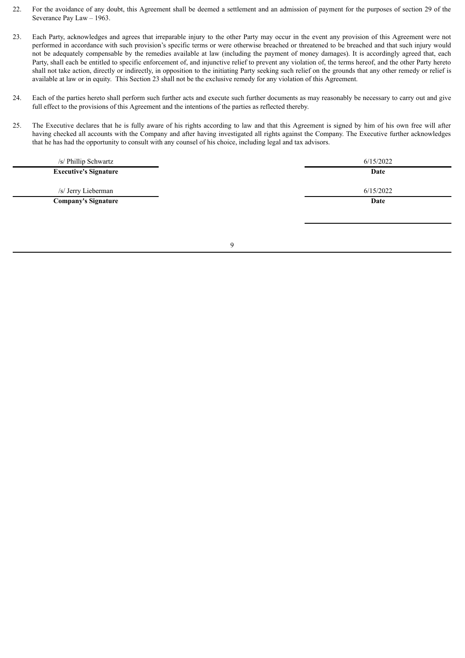- 22. For the avoidance of any doubt, this Agreement shall be deemed a settlement and an admission of payment for the purposes of section 29 of the Severance Pay Law – 1963.
- 23. Each Party, acknowledges and agrees that irreparable injury to the other Party may occur in the event any provision of this Agreement were not performed in accordance with such provision's specific terms or were otherwise breached or threatened to be breached and that such injury would not be adequately compensable by the remedies available at law (including the payment of money damages). It is accordingly agreed that, each Party, shall each be entitled to specific enforcement of, and injunctive relief to prevent any violation of, the terms hereof, and the other Party hereto shall not take action, directly or indirectly, in opposition to the initiating Party seeking such relief on the grounds that any other remedy or relief is available at law or in equity. This Section 23 shall not be the exclusive remedy for any violation of this Agreement.
- 24. Each of the parties hereto shall perform such further acts and execute such further documents as may reasonably be necessary to carry out and give full effect to the provisions of this Agreement and the intentions of the parties as reflected thereby.
- 25. The Executive declares that he is fully aware of his rights according to law and that this Agreement is signed by him of his own free will after having checked all accounts with the Company and after having investigated all rights against the Company. The Executive further acknowledges that he has had the opportunity to consult with any counsel of his choice, including legal and tax advisors.

| /s/ Phillip Schwartz         | 6/15/2022 |
|------------------------------|-----------|
| <b>Executive's Signature</b> | Date      |
| /s/ Jerry Lieberman          | 6/15/2022 |
| <b>Company's Signature</b>   | Date      |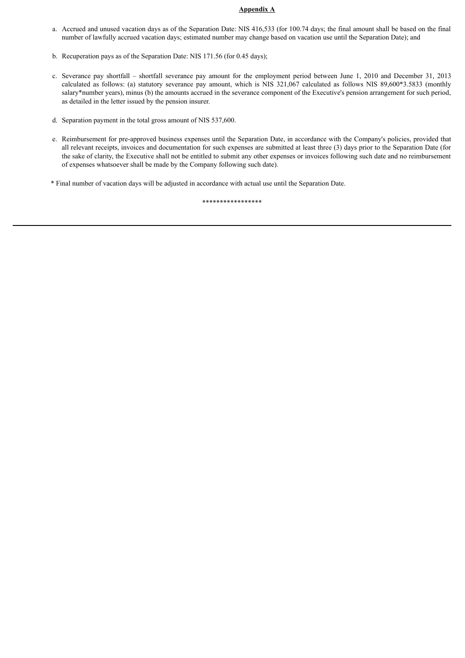#### **Appendix A**

- a. Accrued and unused vacation days as of the Separation Date: NIS 416,533 (for 100.74 days; the final amount shall be based on the final number of lawfully accrued vacation days; estimated number may change based on vacation use until the Separation Date); and
- b. Recuperation pays as of the Separation Date: NIS 171.56 (for 0.45 days);
- c. Severance pay shortfall shortfall severance pay amount for the employment period between June 1, 2010 and December 31, 2013 calculated as follows: (a) statutory severance pay amount, which is NIS 321,067 calculated as follows NIS 89,600\*3.5833 (monthly salary\*number years), minus (b) the amounts accrued in the severance component of the Executive's pension arrangement for such period, as detailed in the letter issued by the pension insurer.
- d. Separation payment in the total gross amount of NIS 537,600.
- e. Reimbursement for pre-approved business expenses until the Separation Date, in accordance with the Company's policies, provided that all relevant receipts, invoices and documentation for such expenses are submitted at least three (3) days prior to the Separation Date (for the sake of clarity, the Executive shall not be entitled to submit any other expenses or invoices following such date and no reimbursement of expenses whatsoever shall be made by the Company following such date).
- \* Final number of vacation days will be adjusted in accordance with actual use until the Separation Date.

\*\*\*\*\*\*\*\*\*\*\*\*\*\*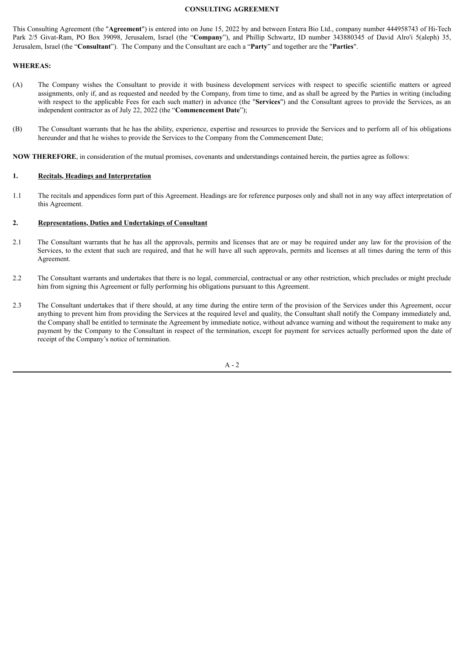#### **CONSULTING AGREEMENT**

This Consulting Agreement (the "**Agreement**") is entered into on June 15, 2022 by and between Entera Bio Ltd., company number 444958743 of Hi-Tech Park 2/5 Givat-Ram, PO Box 39098, Jerusalem, Israel (the "**Company**"), and Phillip Schwartz, ID number 343880345 of David Alro'i 5(aleph) 35, Jerusalem, Israel (the "**Consultant**"). The Company and the Consultant are each a "**Party**" and together are the "**Parties**".

#### **WHEREAS:**

- (A) The Company wishes the Consultant to provide it with business development services with respect to specific scientific matters or agreed assignments, only if, and as requested and needed by the Company, from time to time, and as shall be agreed by the Parties in writing (including with respect to the applicable Fees for each such matter) in advance (the "**Services**") and the Consultant agrees to provide the Services, as an independent contractor as of July 22, 2022 (the "**Commencement Date**");
- (B) The Consultant warrants that he has the ability, experience, expertise and resources to provide the Services and to perform all of his obligations hereunder and that he wishes to provide the Services to the Company from the Commencement Date;

**NOW THEREFORE**, in consideration of the mutual promises, covenants and understandings contained herein, the parties agree as follows:

#### **1. Recitals, Headings and Interpretation**

1.1 The recitals and appendices form part of this Agreement. Headings are for reference purposes only and shall not in any way affect interpretation of this Agreement.

#### **2. Representations, Duties and Undertakings of Consultant**

- 2.1 The Consultant warrants that he has all the approvals, permits and licenses that are or may be required under any law for the provision of the Services, to the extent that such are required, and that he will have all such approvals, permits and licenses at all times during the term of this Agreement.
- 2.2 The Consultant warrants and undertakes that there is no legal, commercial, contractual or any other restriction, which precludes or might preclude him from signing this Agreement or fully performing his obligations pursuant to this Agreement.
- 2.3 The Consultant undertakes that if there should, at any time during the entire term of the provision of the Services under this Agreement, occur anything to prevent him from providing the Services at the required level and quality, the Consultant shall notify the Company immediately and, the Company shall be entitled to terminate the Agreement by immediate notice, without advance warning and without the requirement to make any payment by the Company to the Consultant in respect of the termination, except for payment for services actually performed upon the date of receipt of the Company's notice of termination.

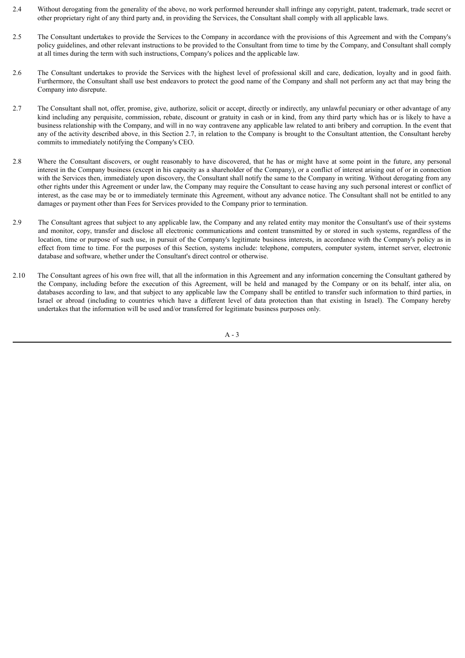- 2.4 Without derogating from the generality of the above, no work performed hereunder shall infringe any copyright, patent, trademark, trade secret or other proprietary right of any third party and, in providing the Services, the Consultant shall comply with all applicable laws.
- 2.5 The Consultant undertakes to provide the Services to the Company in accordance with the provisions of this Agreement and with the Company's policy guidelines, and other relevant instructions to be provided to the Consultant from time to time by the Company, and Consultant shall comply at all times during the term with such instructions, Company's polices and the applicable law.
- 2.6 The Consultant undertakes to provide the Services with the highest level of professional skill and care, dedication, loyalty and in good faith. Furthermore, the Consultant shall use best endeavors to protect the good name of the Company and shall not perform any act that may bring the Company into disrepute.
- 2.7 The Consultant shall not, offer, promise, give, authorize, solicit or accept, directly or indirectly, any unlawful pecuniary or other advantage of any kind including any perquisite, commission, rebate, discount or gratuity in cash or in kind, from any third party which has or is likely to have a business relationship with the Company, and will in no way contravene any applicable law related to anti bribery and corruption. In the event that any of the activity described above, in this Section 2.7, in relation to the Company is brought to the Consultant attention, the Consultant hereby commits to immediately notifying the Company's CEO.
- 2.8 Where the Consultant discovers, or ought reasonably to have discovered, that he has or might have at some point in the future, any personal interest in the Company business (except in his capacity as a shareholder of the Company), or a conflict of interest arising out of or in connection with the Services then, immediately upon discovery, the Consultant shall notify the same to the Company in writing. Without derogating from any other rights under this Agreement or under law, the Company may require the Consultant to cease having any such personal interest or conflict of interest, as the case may be or to immediately terminate this Agreement, without any advance notice. The Consultant shall not be entitled to any damages or payment other than Fees for Services provided to the Company prior to termination.
- 2.9 The Consultant agrees that subject to any applicable law, the Company and any related entity may monitor the Consultant's use of their systems and monitor, copy, transfer and disclose all electronic communications and content transmitted by or stored in such systems, regardless of the location, time or purpose of such use, in pursuit of the Company's legitimate business interests, in accordance with the Company's policy as in effect from time to time. For the purposes of this Section, systems include: telephone, computers, computer system, internet server, electronic database and software, whether under the Consultant's direct control or otherwise.
- 2.10 The Consultant agrees of his own free will, that all the information in this Agreement and any information concerning the Consultant gathered by the Company, including before the execution of this Agreement, will be held and managed by the Company or on its behalf, inter alia, on databases according to law, and that subject to any applicable law the Company shall be entitled to transfer such information to third parties, in Israel or abroad (including to countries which have a different level of data protection than that existing in Israel). The Company hereby undertakes that the information will be used and/or transferred for legitimate business purposes only.

A - 3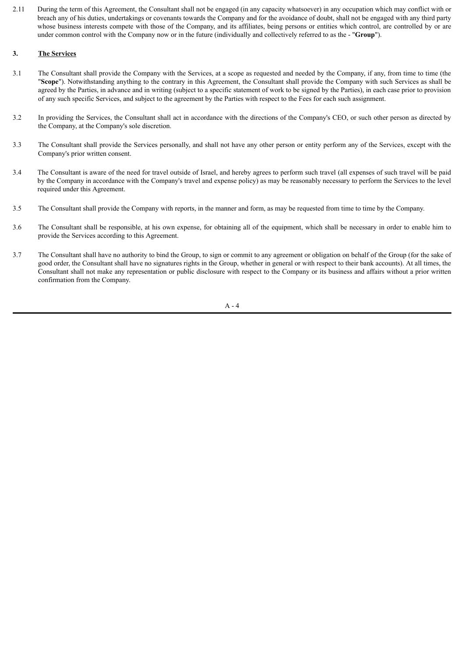2.11 During the term of this Agreement, the Consultant shall not be engaged (in any capacity whatsoever) in any occupation which may conflict with or breach any of his duties, undertakings or covenants towards the Company and for the avoidance of doubt, shall not be engaged with any third party whose business interests compete with those of the Company, and its affiliates, being persons or entities which control, are controlled by or are under common control with the Company now or in the future (individually and collectively referred to as the - "**Group**").

#### **3. The Services**

- 3.1 The Consultant shall provide the Company with the Services, at a scope as requested and needed by the Company, if any, from time to time (the "**Scope**"). Notwithstanding anything to the contrary in this Agreement, the Consultant shall provide the Company with such Services as shall be agreed by the Parties, in advance and in writing (subject to a specific statement of work to be signed by the Parties), in each case prior to provision of any such specific Services, and subject to the agreement by the Parties with respect to the Fees for each such assignment.
- 3.2 In providing the Services, the Consultant shall act in accordance with the directions of the Company's CEO, or such other person as directed by the Company, at the Company's sole discretion.
- 3.3 The Consultant shall provide the Services personally, and shall not have any other person or entity perform any of the Services, except with the Company's prior written consent.
- 3.4 The Consultant is aware of the need for travel outside of Israel, and hereby agrees to perform such travel (all expenses of such travel will be paid by the Company in accordance with the Company's travel and expense policy) as may be reasonably necessary to perform the Services to the level required under this Agreement.
- 3.5 The Consultant shall provide the Company with reports, in the manner and form, as may be requested from time to time by the Company.
- 3.6 The Consultant shall be responsible, at his own expense, for obtaining all of the equipment, which shall be necessary in order to enable him to provide the Services according to this Agreement.
- 3.7 The Consultant shall have no authority to bind the Group, to sign or commit to any agreement or obligation on behalf of the Group (for the sake of good order, the Consultant shall have no signatures rights in the Group, whether in general or with respect to their bank accounts). At all times, the Consultant shall not make any representation or public disclosure with respect to the Company or its business and affairs without a prior written confirmation from the Company.

 $A - 4$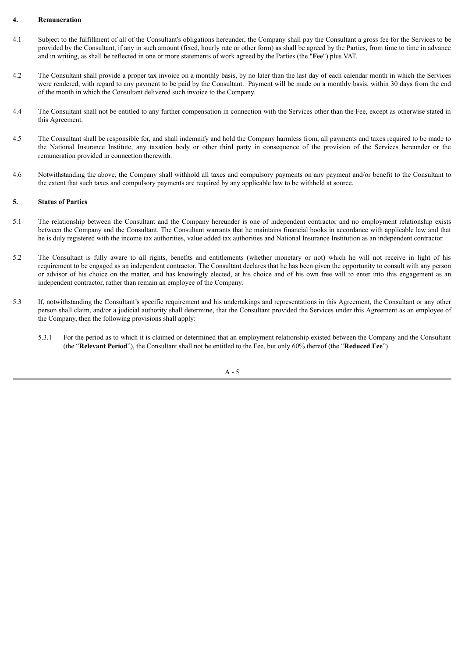#### **4. Remuneration**

- 4.1 Subject to the fulfillment of all of the Consultant's obligations hereunder, the Company shall pay the Consultant a gross fee for the Services to be provided by the Consultant, if any in such amount (fixed, hourly rate or other form) as shall be agreed by the Parties, from time to time in advance and in writing, as shall be reflected in one or more statements of work agreed by the Parties (the "**Fee**") plus VAT.
- 4.2 The Consultant shall provide a proper tax invoice on a monthly basis, by no later than the last day of each calendar month in which the Services were rendered, with regard to any payment to be paid by the Consultant. Payment will be made on a monthly basis, within 30 days from the end of the month in which the Consultant delivered such invoice to the Company.
- 4.4 The Consultant shall not be entitled to any further compensation in connection with the Services other than the Fee, except as otherwise stated in this Agreement.
- 4.5 The Consultant shall be responsible for, and shall indemnify and hold the Company harmless from, all payments and taxes required to be made to the National Insurance Institute, any taxation body or other third party in consequence of the provision of the Services hereunder or the remuneration provided in connection therewith.
- 4.6 Notwithstanding the above, the Company shall withhold all taxes and compulsory payments on any payment and/or benefit to the Consultant to the extent that such taxes and compulsory payments are required by any applicable law to be withheld at source.

#### **5. Status of Parties**

- 5.1 The relationship between the Consultant and the Company hereunder is one of independent contractor and no employment relationship exists between the Company and the Consultant. The Consultant warrants that he maintains financial books in accordance with applicable law and that he is duly registered with the income tax authorities, value added tax authorities and National Insurance Institution as an independent contractor.
- 5.2 The Consultant is fully aware to all rights, benefits and entitlements (whether monetary or not) which he will not receive in light of his requirement to be engaged as an independent contractor. The Consultant declares that he has been given the opportunity to consult with any person or advisor of his choice on the matter, and has knowingly elected, at his choice and of his own free will to enter into this engagement as an independent contractor, rather than remain an employee of the Company.
- 5.3 If, notwithstanding the Consultant's specific requirement and his undertakings and representations in this Agreement, the Consultant or any other person shall claim, and/or a judicial authority shall determine, that the Consultant provided the Services under this Agreement as an employee of the Company, then the following provisions shall apply:
	- 5.3.1 For the period as to which it is claimed or determined that an employment relationship existed between the Company and the Consultant (the "**Relevant Period**"), the Consultant shall not be entitled to the Fee, but only 60% thereof (the "**Reduced Fee**").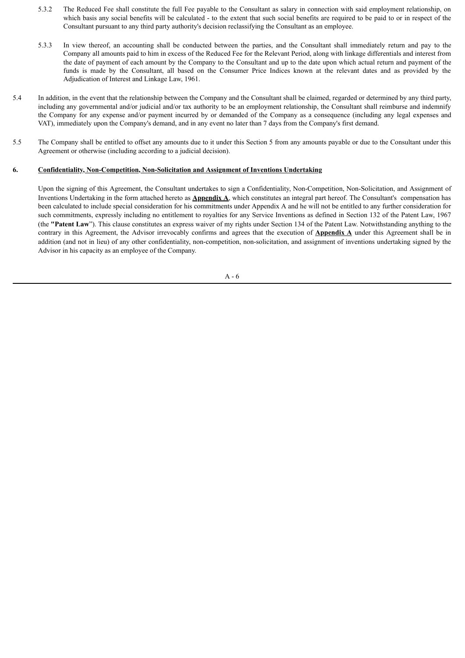- 5.3.2 The Reduced Fee shall constitute the full Fee payable to the Consultant as salary in connection with said employment relationship, on which basis any social benefits will be calculated - to the extent that such social benefits are required to be paid to or in respect of the Consultant pursuant to any third party authority's decision reclassifying the Consultant as an employee.
- 5.3.3 In view thereof, an accounting shall be conducted between the parties, and the Consultant shall immediately return and pay to the Company all amounts paid to him in excess of the Reduced Fee for the Relevant Period, along with linkage differentials and interest from the date of payment of each amount by the Company to the Consultant and up to the date upon which actual return and payment of the funds is made by the Consultant, all based on the Consumer Price Indices known at the relevant dates and as provided by the Adjudication of Interest and Linkage Law, 1961.
- 5.4 In addition, in the event that the relationship between the Company and the Consultant shall be claimed, regarded or determined by any third party, including any governmental and/or judicial and/or tax authority to be an employment relationship, the Consultant shall reimburse and indemnify the Company for any expense and/or payment incurred by or demanded of the Company as a consequence (including any legal expenses and VAT), immediately upon the Company's demand, and in any event no later than 7 days from the Company's first demand.
- 5.5 The Company shall be entitled to offset any amounts due to it under this Section 5 from any amounts payable or due to the Consultant under this Agreement or otherwise (including according to a judicial decision).

#### **6. Confidentiality, Non-Competition, Non-Solicitation and Assignment of Inventions Undertaking**

Upon the signing of this Agreement, the Consultant undertakes to sign a Confidentiality, Non-Competition, Non-Solicitation, and Assignment of Inventions Undertaking in the form attached hereto as **Appendix A**, which constitutes an integral part hereof. The Consultant's compensation has been calculated to include special consideration for his commitments under Appendix A and he will not be entitled to any further consideration for such commitments, expressly including no entitlement to royalties for any Service Inventions as defined in Section 132 of the Patent Law, 1967 (the **"Patent Law**"). This clause constitutes an express waiver of my rights under Section 134 of the Patent Law. Notwithstanding anything to the contrary in this Agreement, the Advisor irrevocably confirms and agrees that the execution of **Appendix A** under this Agreement shall be in addition (and not in lieu) of any other confidentiality, non-competition, non-solicitation, and assignment of inventions undertaking signed by the Advisor in his capacity as an employee of the Company.

A - 6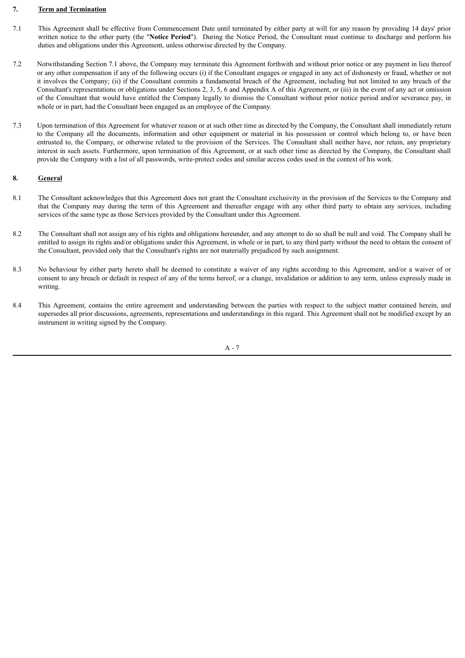#### **7. Term and Termination**

- 7.1 This Agreement shall be effective from Commencement Date until terminated by either party at will for any reason by providing 14 days' prior written notice to the other party (the "**Notice Period**"). During the Notice Period, the Consultant must continue to discharge and perform his duties and obligations under this Agreement, unless otherwise directed by the Company.
- 7.2 Notwithstanding Section 7.1 above, the Company may terminate this Agreement forthwith and without prior notice or any payment in lieu thereof or any other compensation if any of the following occurs (i) if the Consultant engages or engaged in any act of dishonesty or fraud, whether or not it involves the Company; (ii) if the Consultant commits a fundamental breach of the Agreement, including but not limited to any breach of the Consultant's representations or obligations under Sections 2, 3, 5, 6 and Appendix A of this Agreement, or (iii) in the event of any act or omission of the Consultant that would have entitled the Company legally to dismiss the Consultant without prior notice period and/or severance pay, in whole or in part, had the Consultant been engaged as an employee of the Company.
- 7.3 Upon termination of this Agreement for whatever reason or at such other time as directed by the Company, the Consultant shall immediately return to the Company all the documents, information and other equipment or material in his possession or control which belong to, or have been entrusted to, the Company, or otherwise related to the provision of the Services. The Consultant shall neither have, nor retain, any proprietary interest in such assets. Furthermore, upon termination of this Agreement, or at such other time as directed by the Company, the Consultant shall provide the Company with a list of all passwords, write-protect codes and similar access codes used in the context of his work.

#### **8. General**

- 8.1 The Consultant acknowledges that this Agreement does not grant the Consultant exclusivity in the provision of the Services to the Company and that the Company may during the term of this Agreement and thereafter engage with any other third party to obtain any services, including services of the same type as those Services provided by the Consultant under this Agreement.
- 8.2 The Consultant shall not assign any of his rights and obligations hereunder, and any attempt to do so shall be null and void. The Company shall be entitled to assign its rights and/or obligations under this Agreement, in whole or in part, to any third party without the need to obtain the consent of the Consultant, provided only that the Consultant's rights are not materially prejudiced by such assignment.
- 8.3 No behaviour by either party hereto shall be deemed to constitute a waiver of any rights according to this Agreement, and/or a waiver of or consent to any breach or default in respect of any of the terms hereof, or a change, invalidation or addition to any term, unless expressly made in writing.
- 8.4 This Agreement, contains the entire agreement and understanding between the parties with respect to the subject matter contained herein, and supersedes all prior discussions, agreements, representations and understandings in this regard. This Agreement shall not be modified except by an instrument in writing signed by the Company.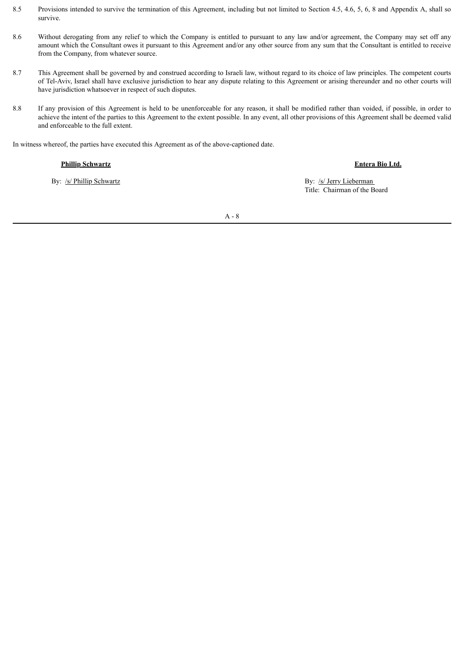- 8.5 Provisions intended to survive the termination of this Agreement, including but not limited to Section 4.5, 4.6, 5, 6, 8 and Appendix A, shall so survive.
- 8.6 Without derogating from any relief to which the Company is entitled to pursuant to any law and/or agreement, the Company may set off any amount which the Consultant owes it pursuant to this Agreement and/or any other source from any sum that the Consultant is entitled to receive from the Company, from whatever source.
- 8.7 This Agreement shall be governed by and construed according to Israeli law, without regard to its choice of law principles. The competent courts of Tel-Aviv, Israel shall have exclusive jurisdiction to hear any dispute relating to this Agreement or arising thereunder and no other courts will have jurisdiction whatsoever in respect of such disputes.
- 8.8 If any provision of this Agreement is held to be unenforceable for any reason, it shall be modified rather than voided, if possible, in order to achieve the intent of the parties to this Agreement to the extent possible. In any event, all other provisions of this Agreement shall be deemed valid and enforceable to the full extent.

In witness whereof, the parties have executed this Agreement as of the above-captioned date.

#### **Phillip Schwartz Entera Bio Ltd.**

By: /s/ Phillip Schwartz By: /s/ Jerry Lieberman By: /s/ Jerry Lieberman Title: Chairman of the Board

A - 8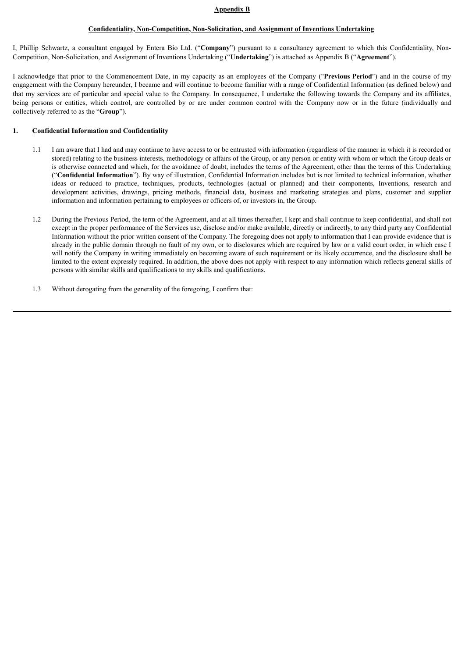#### **Appendix B**

#### **Confidentiality, Non-Competition, Non-Solicitation, and Assignment of Inventions Undertaking**

I, Phillip Schwartz, a consultant engaged by Entera Bio Ltd. ("**Company**") pursuant to a consultancy agreement to which this Confidentiality, Non-Competition, Non-Solicitation, and Assignment of Inventions Undertaking ("**Undertaking**") is attached as Appendix B ("**Agreement**").

I acknowledge that prior to the Commencement Date, in my capacity as an employees of the Company ("**Previous Period**") and in the course of my engagement with the Company hereunder, I became and will continue to become familiar with a range of Confidential Information (as defined below) and that my services are of particular and special value to the Company. In consequence, I undertake the following towards the Company and its affiliates, being persons or entities, which control, are controlled by or are under common control with the Company now or in the future (individually and collectively referred to as the "**Group**").

#### **1. Confidential Information and Confidentiality**

- 1.1 I am aware that I had and may continue to have access to or be entrusted with information (regardless of the manner in which it is recorded or stored) relating to the business interests, methodology or affairs of the Group, or any person or entity with whom or which the Group deals or is otherwise connected and which, for the avoidance of doubt, includes the terms of the Agreement, other than the terms of this Undertaking ("**Confidential Information**"). By way of illustration, Confidential Information includes but is not limited to technical information, whether ideas or reduced to practice, techniques, products, technologies (actual or planned) and their components, Inventions, research and development activities, drawings, pricing methods, financial data, business and marketing strategies and plans, customer and supplier information and information pertaining to employees or officers of, or investors in, the Group.
- 1.2 During the Previous Period, the term of the Agreement, and at all times thereafter, I kept and shall continue to keep confidential, and shall not except in the proper performance of the Services use, disclose and/or make available, directly or indirectly, to any third party any Confidential Information without the prior written consent of the Company. The foregoing does not apply to information that I can provide evidence that is already in the public domain through no fault of my own, or to disclosures which are required by law or a valid court order, in which case I will notify the Company in writing immediately on becoming aware of such requirement or its likely occurrence, and the disclosure shall be limited to the extent expressly required. In addition, the above does not apply with respect to any information which reflects general skills of persons with similar skills and qualifications to my skills and qualifications.
- 1.3 Without derogating from the generality of the foregoing, I confirm that: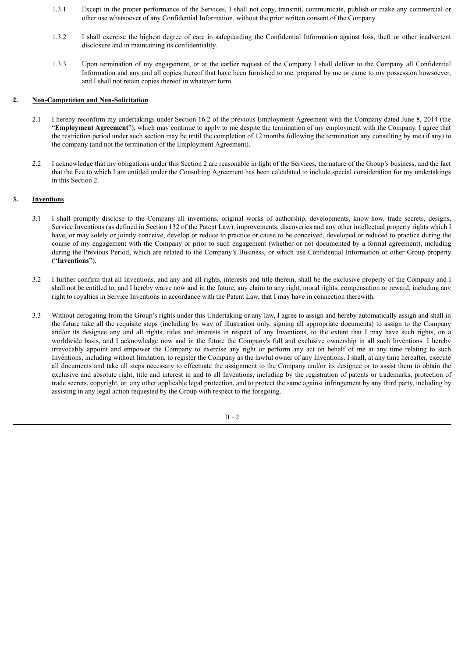- 1.3.1 Except in the proper performance of the Services, I shall not copy, transmit, communicate, publish or make any commercial or other use whatsoever of any Confidential Information, without the prior written consent of the Company.
- 1.3.2 I shall exercise the highest degree of care in safeguarding the Confidential Information against loss, theft or other inadvertent disclosure and in maintaining its confidentiality.
- 1.3.3 Upon termination of my engagement, or at the earlier request of the Company I shall deliver to the Company all Confidential Information and any and all copies thereof that have been furnished to me, prepared by me or came to my possession howsoever, and I shall not retain copies thereof in whatever form.

#### **2. Non-Competition and Non-Solicitation**

- 2.1 I hereby reconfirm my undertakings under Section 16.2 of the previous Employment Agreement with the Company dated June 8, 2014 (the "**Employment Agreement**"), which may continue to apply to me despite the termination of my employment with the Company. I agree that the restriction period under such section may be until the completion of 12 months following the termination any consulting by me (if any) to the company (and not the termination of the Employment Agreement).
- 2.2 I acknowledge that my obligations under this Section 2 are reasonable in light of the Services, the nature of the Group's business, and the fact that the Fee to which I am entitled under the Consulting Agreement has been calculated to include special consideration for my undertakings in this Section 2.

#### **3. Inventions**

- 3.1 I shall promptly disclose to the Company all inventions, original works of authorship, developments, know-how, trade secrets, designs, Service Inventions (as defined in Section 132 of the Patent Law), improvements, discoveries and any other intellectual property rights which I have, or may solely or jointly conceive, develop or reduce to practice or cause to be conceived, developed or reduced to practice during the course of my engagement with the Company or prior to such engagement (whether or not documented by a formal agreement), including during the Previous Period, which are related to the Company's Business, or which use Confidential Information or other Group property ("**Inventions"**).
- 3.2 I further confirm that all Inventions, and any and all rights, interests and title therein, shall be the exclusive property of the Company and I shall not be entitled to, and I hereby waive now and in the future, any claim to any right, moral rights, compensation or reward, including any right to royalties in Service Inventions in accordance with the Patent Law, that I may have in connection therewith.
- 3.3 Without derogating from the Group's rights under this Undertaking or any law, I agree to assign and hereby automatically assign and shall in the future take all the requisite steps (including by way of illustration only, signing all appropriate documents) to assign to the Company and/or its designee any and all rights, titles and interests in respect of any Inventions, to the extent that I may have such rights, on a worldwide basis, and I acknowledge now and in the future the Company's full and exclusive ownership in all such Inventions. I hereby irrevocably appoint and empower the Company to exercise any right or perform any act on behalf of me at any time relating to such Inventions, including without limitation, to register the Company as the lawful owner of any Inventions. I shall, at any time hereafter, execute all documents and take all steps necessary to effectuate the assignment to the Company and/or its designee or to assist them to obtain the exclusive and absolute right, title and interest in and to all Inventions, including by the registration of patents or trademarks, protection of trade secrets, copyright, or any other applicable legal protection, and to protect the same against infringement by any third party, including by assisting in any legal action requested by the Group with respect to the foregoing.

 $B - 2$